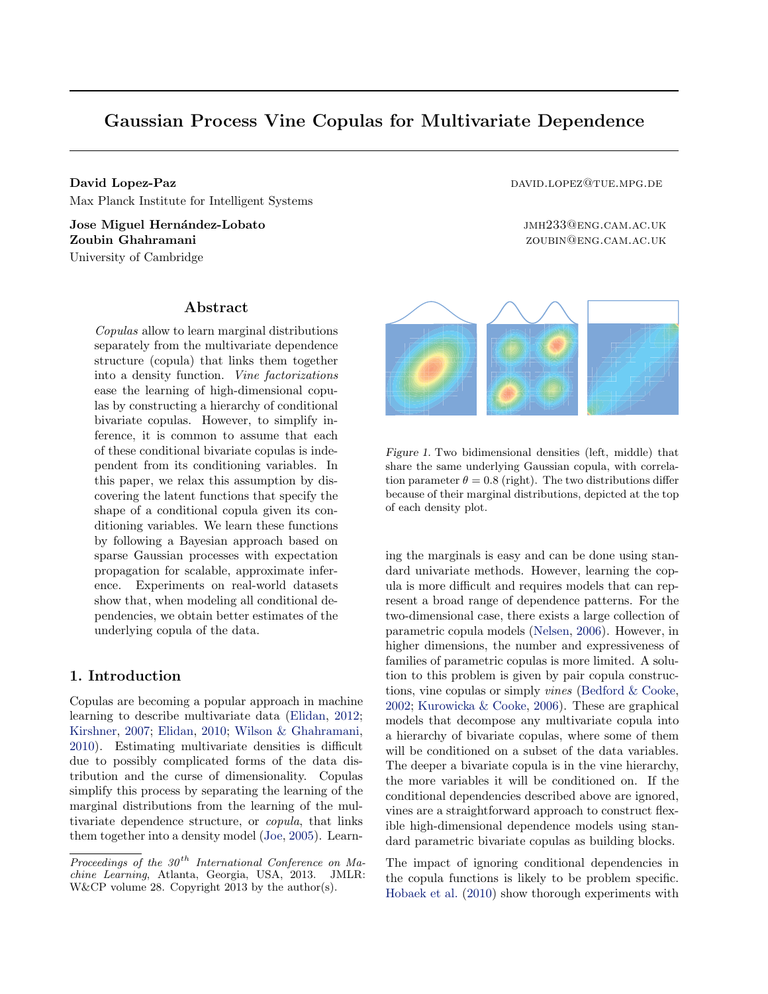# <span id="page-0-0"></span>Gaussian Process Vine Copulas for Multivariate Dependence

David Lopez-Paz david Lopez-Paz david. David Lopez@tue.mpg.def and david.def and david.def and david. Max Planck Institute for Intelligent Systems

Jose Miguel Hernández-Lobato interventiva de la contrasta de la municipal de la municipal de la municipal de la municipal de la municipal de la municipal de la municipal de la municipal de la municipal de la municipal de l **Zoubin Ghahramani zoubin Ghahramani zoubin Ghahramani zoubin zoubin zoubin zoubin zoubin zoubin zoubin zoubin zoubin zoubin zoubin zoubin zoubin zoubin zoubin zoubin zoubin zoubin** University of Cambridge

### Abstract

Copulas allow to learn marginal distributions separately from the multivariate dependence structure (copula) that links them together into a density function. Vine factorizations ease the learning of high-dimensional copulas by constructing a hierarchy of conditional bivariate copulas. However, to simplify inference, it is common to assume that each of these conditional bivariate copulas is independent from its conditioning variables. In this paper, we relax this assumption by discovering the latent functions that specify the shape of a conditional copula given its conditioning variables. We learn these functions by following a Bayesian approach based on sparse Gaussian processes with expectation propagation for scalable, approximate inference. Experiments on real-world datasets show that, when modeling all conditional dependencies, we obtain better estimates of the underlying copula of the data.

# 1. Introduction

Copulas are becoming a popular approach in machine learning to describe multivariate data [\(Elidan,](#page-8-0) [2012;](#page-8-0) [Kirshner,](#page-8-0) [2007;](#page-8-0) [Elidan,](#page-8-0) [2010;](#page-8-0) [Wilson & Ghahramani,](#page-8-0) [2010\)](#page-8-0). Estimating multivariate densities is difficult due to possibly complicated forms of the data distribution and the curse of dimensionality. Copulas simplify this process by separating the learning of the marginal distributions from the learning of the multivariate dependence structure, or copula, that links them together into a density model [\(Joe,](#page-8-0) [2005\)](#page-8-0). Learn-



Figure 1. Two bidimensional densities (left, middle) that share the same underlying Gaussian copula, with correlation parameter  $\theta = 0.8$  (right). The two distributions differ because of their marginal distributions, depicted at the top of each density plot.

ing the marginals is easy and can be done using standard univariate methods. However, learning the copula is more difficult and requires models that can represent a broad range of dependence patterns. For the two-dimensional case, there exists a large collection of parametric copula models [\(Nelsen,](#page-8-0) [2006\)](#page-8-0). However, in higher dimensions, the number and expressiveness of families of parametric copulas is more limited. A solution to this problem is given by pair copula constructions, vine copulas or simply vines [\(Bedford & Cooke,](#page-8-0) [2002;](#page-8-0) [Kurowicka & Cooke,](#page-8-0) [2006\)](#page-8-0). These are graphical models that decompose any multivariate copula into a hierarchy of bivariate copulas, where some of them will be conditioned on a subset of the data variables. The deeper a bivariate copula is in the vine hierarchy, the more variables it will be conditioned on. If the conditional dependencies described above are ignored, vines are a straightforward approach to construct flexible high-dimensional dependence models using standard parametric bivariate copulas as building blocks.

The impact of ignoring conditional dependencies in the copula functions is likely to be problem specific. [Hobaek et al.](#page-8-0) [\(2010\)](#page-8-0) show thorough experiments with

Proceedings of the  $30<sup>th</sup>$  International Conference on Machine Learning, Atlanta, Georgia, USA, 2013. JMLR: W&CP volume 28. Copyright 2013 by the author(s).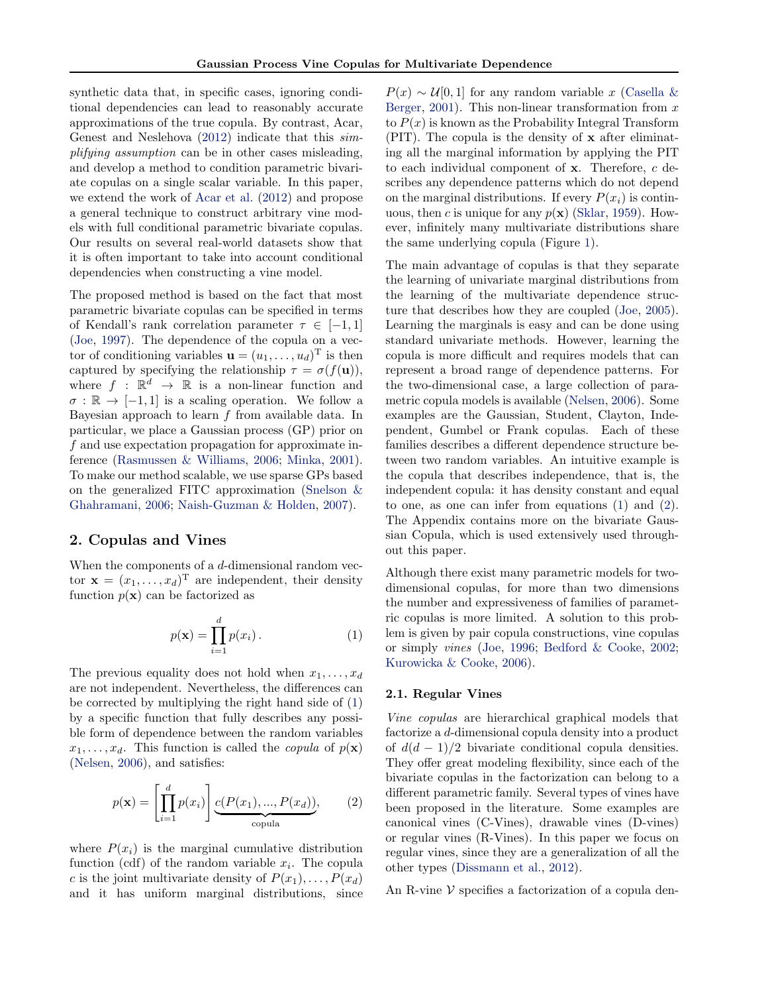synthetic data that, in specific cases, ignoring conditional dependencies can lead to reasonably accurate approximations of the true copula. By contrast, Acar, Genest and Neslehova [\(2012\)](#page-8-0) indicate that this simplifying assumption can be in other cases misleading, and develop a method to condition parametric bivariate copulas on a single scalar variable. In this paper, we extend the work of [Acar et al.](#page-8-0) [\(2012\)](#page-8-0) and propose a general technique to construct arbitrary vine models with full conditional parametric bivariate copulas. Our results on several real-world datasets show that it is often important to take into account conditional dependencies when constructing a vine model.

The proposed method is based on the fact that most parametric bivariate copulas can be specified in terms of Kendall's rank correlation parameter  $\tau \in [-1, 1]$ [\(Joe,](#page-8-0) [1997\)](#page-8-0). The dependence of the copula on a vector of conditioning variables  $\mathbf{u} = (u_1, \dots, u_d)^\mathrm{T}$  is then captured by specifying the relationship  $\tau = \sigma(f(\mathbf{u}))$ , where  $f : \mathbb{R}^d \to \mathbb{R}$  is a non-linear function and  $\sigma : \mathbb{R} \to [-1, 1]$  is a scaling operation. We follow a Bayesian approach to learn  $f$  from available data. In particular, we place a Gaussian process (GP) prior on f and use expectation propagation for approximate inference [\(Rasmussen & Williams,](#page-8-0) [2006;](#page-8-0) [Minka,](#page-8-0) [2001\)](#page-8-0). To make our method scalable, we use sparse GPs based on the generalized FITC approximation [\(Snelson &](#page-8-0) [Ghahramani,](#page-8-0) [2006;](#page-8-0) [Naish-Guzman & Holden,](#page-8-0) [2007\)](#page-8-0).

### 2. Copulas and Vines

When the components of a  $d$ -dimensional random vector  $\mathbf{x} = (x_1, \dots, x_d)$ <sup>T</sup> are independent, their density function  $p(\mathbf{x})$  can be factorized as

$$
p(\mathbf{x}) = \prod_{i=1}^{d} p(x_i).
$$
 (1)

The previous equality does not hold when  $x_1, \ldots, x_d$ are not independent. Nevertheless, the differences can be corrected by multiplying the right hand side of (1) by a specific function that fully describes any possible form of dependence between the random variables  $x_1, \ldots, x_d$ . This function is called the *copula* of  $p(\mathbf{x})$ [\(Nelsen,](#page-8-0) [2006\)](#page-8-0), and satisfies:

$$
p(\mathbf{x}) = \left[\prod_{i=1}^{d} p(x_i)\right] \underbrace{c(P(x_1), ..., P(x_d))}_{\text{copula}},\tag{2}
$$

where  $P(x_i)$  is the marginal cumulative distribution function (cdf) of the random variable  $x_i$ . The copula c is the joint multivariate density of  $P(x_1), \ldots, P(x_d)$ and it has uniform marginal distributions, since

 $P(x) \sim U[0, 1]$  for any random variable x [\(Casella &](#page-8-0) [Berger,](#page-8-0) [2001\)](#page-8-0). This non-linear transformation from  $x$ to  $P(x)$  is known as the Probability Integral Transform (PIT). The copula is the density of x after eliminating all the marginal information by applying the PIT to each individual component of  $x$ . Therefore,  $c$  describes any dependence patterns which do not depend on the marginal distributions. If every  $P(x_i)$  is continuous, then c is unique for any  $p(x)$  [\(Sklar,](#page-8-0) [1959\)](#page-8-0). However, infinitely many multivariate distributions share the same underlying copula (Figure [1\)](#page-0-0).

The main advantage of copulas is that they separate the learning of univariate marginal distributions from the learning of the multivariate dependence structure that describes how they are coupled [\(Joe,](#page-8-0) [2005\)](#page-8-0). Learning the marginals is easy and can be done using standard univariate methods. However, learning the copula is more difficult and requires models that can represent a broad range of dependence patterns. For the two-dimensional case, a large collection of parametric copula models is available [\(Nelsen,](#page-8-0) [2006\)](#page-8-0). Some examples are the Gaussian, Student, Clayton, Independent, Gumbel or Frank copulas. Each of these families describes a different dependence structure between two random variables. An intuitive example is the copula that describes independence, that is, the independent copula: it has density constant and equal to one, as one can infer from equations (1) and (2). The Appendix contains more on the bivariate Gaussian Copula, which is used extensively used throughout this paper.

Although there exist many parametric models for twodimensional copulas, for more than two dimensions the number and expressiveness of families of parametric copulas is more limited. A solution to this problem is given by pair copula constructions, vine copulas or simply vines [\(Joe,](#page-8-0) [1996;](#page-8-0) [Bedford & Cooke,](#page-8-0) [2002;](#page-8-0) [Kurowicka & Cooke,](#page-8-0) [2006\)](#page-8-0).

#### 2.1. Regular Vines

Vine copulas are hierarchical graphical models that factorize a d-dimensional copula density into a product of  $d(d-1)/2$  bivariate conditional copula densities. They offer great modeling flexibility, since each of the bivariate copulas in the factorization can belong to a different parametric family. Several types of vines have been proposed in the literature. Some examples are canonical vines (C-Vines), drawable vines (D-vines) or regular vines (R-Vines). In this paper we focus on regular vines, since they are a generalization of all the other types [\(Dissmann et al.,](#page-8-0) [2012\)](#page-8-0).

An R-vine  $V$  specifies a factorization of a copula den-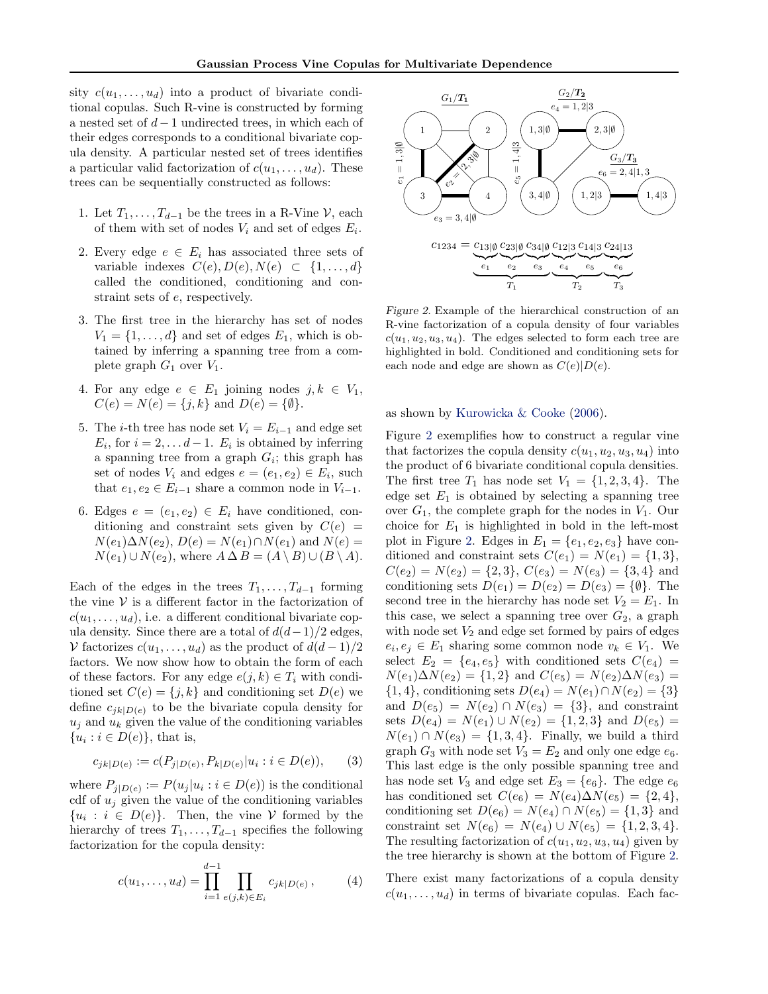<span id="page-2-0"></span>sity  $c(u_1, \ldots, u_d)$  into a product of bivariate conditional copulas. Such R-vine is constructed by forming a nested set of  $d-1$  undirected trees, in which each of their edges corresponds to a conditional bivariate copula density. A particular nested set of trees identifies a particular valid factorization of  $c(u_1, \ldots, u_d)$ . These trees can be sequentially constructed as follows:

- 1. Let  $T_1, \ldots, T_{d-1}$  be the trees in a R-Vine  $\mathcal{V}$ , each of them with set of nodes  $V_i$  and set of edges  $E_i$ .
- 2. Every edge  $e \in E_i$  has associated three sets of variable indexes  $C(e), D(e), N(e) \subset \{1, ..., d\}$ called the conditioned, conditioning and constraint sets of e, respectively.
- 3. The first tree in the hierarchy has set of nodes  $V_1 = \{1, \ldots, d\}$  and set of edges  $E_1$ , which is obtained by inferring a spanning tree from a complete graph  $G_1$  over  $V_1$ .
- 4. For any edge  $e \in E_1$  joining nodes  $j, k \in V_1$ ,  $C(e) = N(e) = \{j, k\}$  and  $D(e) = \{\emptyset\}.$
- 5. The *i*-th tree has node set  $V_i = E_{i-1}$  and edge set  $E_i$ , for  $i = 2, \ldots d - 1$ .  $E_i$  is obtained by inferring a spanning tree from a graph  $G_i$ ; this graph has set of nodes  $V_i$  and edges  $e = (e_1, e_2) \in E_i$ , such that  $e_1, e_2 \in E_{i-1}$  share a common node in  $V_{i-1}$ .
- 6. Edges  $e = (e_1, e_2) \in E_i$  have conditioned, conditioning and constraint sets given by  $C(e)$  =  $N(e_1)\Delta N(e_2), D(e) = N(e_1) \cap N(e_1)$  and  $N(e) =$  $N(e_1) \cup N(e_2)$ , where  $A \Delta B = (A \setminus B) \cup (B \setminus A)$ .

Each of the edges in the trees  $T_1, \ldots, T_{d-1}$  forming the vine  $V$  is a different factor in the factorization of  $c(u_1, \ldots, u_d)$ , i.e. a different conditional bivariate copula density. Since there are a total of  $d(d-1)/2$  edges, V factorizes  $c(u_1, \ldots, u_d)$  as the product of  $d(d-1)/2$ factors. We now show how to obtain the form of each of these factors. For any edge  $e(j, k) \in T_i$  with conditioned set  $C(e) = \{j, k\}$  and conditioning set  $D(e)$  we define  $c_{ik|D(e)}$  to be the bivariate copula density for  $u_i$  and  $u_k$  given the value of the conditioning variables  ${u_i : i \in D(e)}$ , that is,

$$
c_{jk|D(e)} := c(P_{j|D(e)}, P_{k|D(e)}|u_i : i \in D(e)),
$$
 (3)

where  $P_{j|D(e)} := P(u_j|u_i : i \in D(e))$  is the conditional cdf of  $u_j$  given the value of the conditioning variables  ${u_i : i \in D(e)}$ . Then, the vine V formed by the hierarchy of trees  $T_1, \ldots, T_{d-1}$  specifies the following factorization for the copula density:

$$
c(u_1, \dots, u_d) = \prod_{i=1}^{d-1} \prod_{e(j,k) \in E_i} c_{jk|D(e)}, \qquad (4)
$$



Figure 2. Example of the hierarchical construction of an R-vine factorization of a copula density of four variables  $c(u_1, u_2, u_3, u_4)$ . The edges selected to form each tree are highlighted in bold. Conditioned and conditioning sets for each node and edge are shown as  $C(e)|D(e)$ .

as shown by [Kurowicka & Cooke](#page-8-0) [\(2006\)](#page-8-0).

Figure 2 exemplifies how to construct a regular vine that factorizes the copula density  $c(u_1, u_2, u_3, u_4)$  into the product of 6 bivariate conditional copula densities. The first tree  $T_1$  has node set  $V_1 = \{1, 2, 3, 4\}$ . The edge set  $E_1$  is obtained by selecting a spanning tree over  $G_1$ , the complete graph for the nodes in  $V_1$ . Our choice for  $E_1$  is highlighted in bold in the left-most plot in Figure 2. Edges in  $E_1 = \{e_1, e_2, e_3\}$  have conditioned and constraint sets  $C(e_1) = N(e_1) = \{1,3\},\$  $C(e_2) = N(e_2) = \{2,3\}, C(e_3) = N(e_3) = \{3,4\}$  and conditioning sets  $D(e_1) = D(e_2) = D(e_3) = {\emptyset}.$  The second tree in the hierarchy has node set  $V_2 = E_1$ . In this case, we select a spanning tree over  $G_2$ , a graph with node set  $V_2$  and edge set formed by pairs of edges  $e_i, e_j \in E_1$  sharing some common node  $v_k \in V_1$ . We select  $E_2 = \{e_4, e_5\}$  with conditioned sets  $C(e_4)$  $N(e_1)\Delta N(e_2) = \{1,2\}$  and  $C(e_5) = N(e_2)\Delta N(e_3) =$  $\{1, 4\}$ , conditioning sets  $D(e_4) = N(e_1) \cap N(e_2) = \{3\}$ and  $D(e_5) = N(e_2) \cap N(e_3) = \{3\}$ , and constraint sets  $D(e_4) = N(e_1) \cup N(e_2) = \{1, 2, 3\}$  and  $D(e_5) =$  $N(e_1) \cap N(e_3) = \{1, 3, 4\}.$  Finally, we build a third graph  $G_3$  with node set  $V_3 = E_2$  and only one edge  $e_6$ . This last edge is the only possible spanning tree and has node set  $V_3$  and edge set  $E_3 = \{e_6\}$ . The edge  $e_6$ has conditioned set  $C(e_6) = N(e_4)\Delta N(e_5) = \{2, 4\},\$ conditioning set  $D(e_6) = N(e_4) \cap N(e_5) = \{1,3\}$  and constraint set  $N(e_6) = N(e_4) \cup N(e_5) = \{1, 2, 3, 4\}.$ The resulting factorization of  $c(u_1, u_2, u_3, u_4)$  given by the tree hierarchy is shown at the bottom of Figure 2.

There exist many factorizations of a copula density  $c(u_1, \ldots, u_d)$  in terms of bivariate copulas. Each fac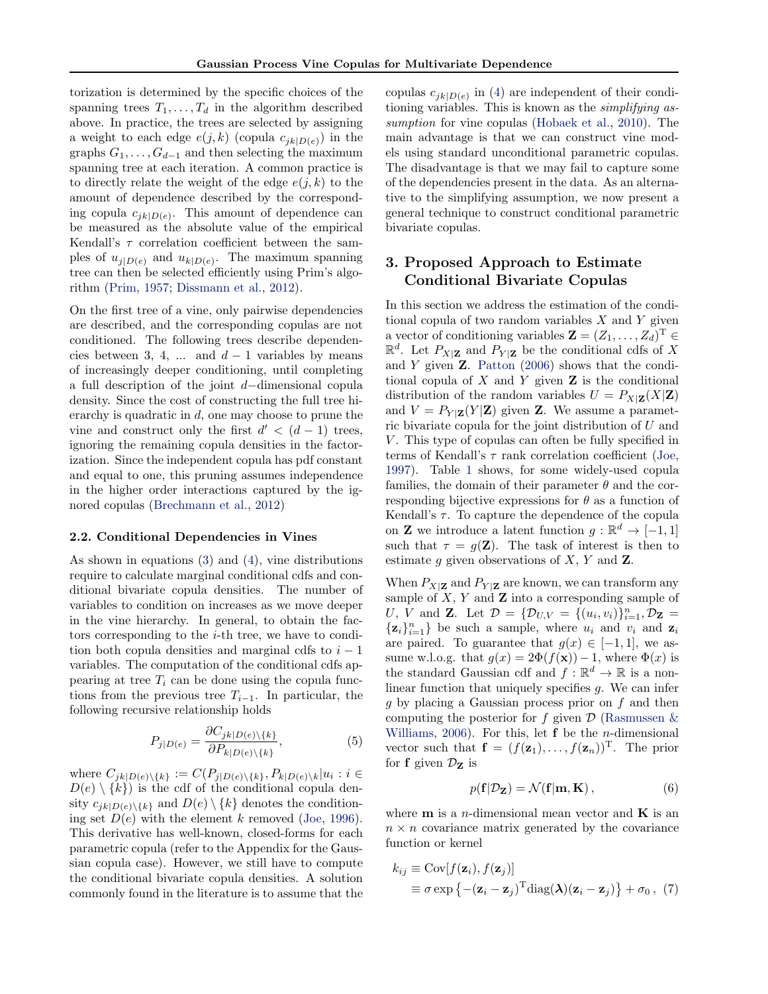<span id="page-3-0"></span>torization is determined by the specific choices of the spanning trees  $T_1, \ldots, T_d$  in the algorithm described above. In practice, the trees are selected by assigning a weight to each edge  $e(j, k)$  (copula  $c_{jk|D(e)}$ ) in the graphs  $G_1, \ldots, G_{d-1}$  and then selecting the maximum spanning tree at each iteration. A common practice is to directly relate the weight of the edge  $e(j, k)$  to the amount of dependence described by the corresponding copula  $c_{jk|D(e)}$ . This amount of dependence can be measured as the absolute value of the empirical Kendall's  $\tau$  correlation coefficient between the samples of  $u_{j|D(e)}$  and  $u_{k|D(e)}$ . The maximum spanning tree can then be selected efficiently using Prim's algorithm [\(Prim,](#page-8-0) [1957;](#page-8-0) [Dissmann et al.,](#page-8-0) [2012\)](#page-8-0).

On the first tree of a vine, only pairwise dependencies are described, and the corresponding copulas are not conditioned. The following trees describe dependencies between 3, 4, ... and  $d-1$  variables by means of increasingly deeper conditioning, until completing a full description of the joint d−dimensional copula density. Since the cost of constructing the full tree hierarchy is quadratic in  $d$ , one may choose to prune the vine and construct only the first  $d' < (d-1)$  trees, ignoring the remaining copula densities in the factorization. Since the independent copula has pdf constant and equal to one, this pruning assumes independence in the higher order interactions captured by the ignored copulas [\(Brechmann et al.,](#page-8-0) [2012\)](#page-8-0)

#### 2.2. Conditional Dependencies in Vines

As shown in equations [\(3\)](#page-2-0) and [\(4\)](#page-2-0), vine distributions require to calculate marginal conditional cdfs and conditional bivariate copula densities. The number of variables to condition on increases as we move deeper in the vine hierarchy. In general, to obtain the factors corresponding to the  $i$ -th tree, we have to condition both copula densities and marginal cdfs to  $i - 1$ variables. The computation of the conditional cdfs appearing at tree  $T_i$  can be done using the copula functions from the previous tree  $T_{i-1}$ . In particular, the following recursive relationship holds

$$
P_{j|D(e)} = \frac{\partial C_{jk|D(e)\setminus\{k\}}}{\partial P_{k|D(e)\setminus\{k\}}},\tag{5}
$$

where  $C_{jk|D(e)\setminus\{k\}} := C(P_{j|D(e)\setminus\{k\}}, P_{k|D(e)\setminus k}|u_i : i \in$  $D(e) \setminus \{k\}$  is the cdf of the conditional copula density  $c_{jk|D(e)\setminus\{k\}}$  and  $D(e)\setminus\{k\}$  denotes the conditioning set  $D(e)$  with the element k removed [\(Joe,](#page-8-0) [1996\)](#page-8-0). This derivative has well-known, closed-forms for each parametric copula (refer to the Appendix for the Gaussian copula case). However, we still have to compute the conditional bivariate copula densities. A solution commonly found in the literature is to assume that the

copulas  $c_{jk|D(e)}$  in [\(4\)](#page-2-0) are independent of their conditioning variables. This is known as the simplifying assumption for vine copulas [\(Hobaek et al.,](#page-8-0) [2010\)](#page-8-0). The main advantage is that we can construct vine models using standard unconditional parametric copulas. The disadvantage is that we may fail to capture some of the dependencies present in the data. As an alternative to the simplifying assumption, we now present a general technique to construct conditional parametric bivariate copulas.

# 3. Proposed Approach to Estimate Conditional Bivariate Copulas

In this section we address the estimation of the conditional copula of two random variables  $X$  and  $Y$  given a vector of conditioning variables  $\mathbf{Z} = (Z_1, \ldots, Z_d)^{\mathrm{T}} \in$  $\mathbb{R}^d$ . Let  $P_{X|\mathbf{Z}}$  and  $P_{Y|\mathbf{Z}}$  be the conditional cdfs of X and  $Y$  given  $Z$ . [Patton](#page-8-0) [\(2006\)](#page-8-0) shows that the conditional copula of  $X$  and  $Y$  given  $Z$  is the conditional distribution of the random variables  $U = P_{X|\mathbf{Z}}(X|\mathbf{Z})$ and  $V = P_{Y|Z}(Y|Z)$  given Z. We assume a parametric bivariate copula for the joint distribution of  $U$  and  $V$ . This type of copulas can often be fully specified in terms of Kendall's  $\tau$  rank correlation coefficient [\(Joe,](#page-8-0) [1997\)](#page-8-0). Table [1](#page-4-0) shows, for some widely-used copula families, the domain of their parameter  $\theta$  and the corresponding bijective expressions for  $\theta$  as a function of Kendall's  $\tau$ . To capture the dependence of the copula on **Z** we introduce a latent function  $g : \mathbb{R}^d \to [-1, 1]$ such that  $\tau = g(\mathbf{Z})$ . The task of interest is then to estimate g given observations of  $X, Y$  and  $\mathbb{Z}$ .

When  $P_{X|\mathbf{Z}}$  and  $P_{Y|\mathbf{Z}}$  are known, we can transform any sample of  $X, Y$  and  $\mathbf Z$  into a corresponding sample of U, V and **Z**. Let  $\mathcal{D} = {\mathcal{D}_{U,V}} = {(u_i, v_i)}_{i=1}^n, \mathcal{D}_{\mathbf{Z}} =$  $\{\mathbf z_i\}_{i=1}^n\}$  be such a sample, where  $u_i$  and  $v_i$  and  $\mathbf z_i$ are paired. To guarantee that  $g(x) \in [-1,1]$ , we assume w.l.o.g. that  $g(x) = 2\Phi(f(x)) - 1$ , where  $\Phi(x)$  is the standard Gaussian cdf and  $f: \mathbb{R}^d \to \mathbb{R}$  is a nonlinear function that uniquely specifies g. We can infer g by placing a Gaussian process prior on f and then computing the posterior for f given  $\mathcal D$  (Rasmussen  $\&$ [Williams,](#page-8-0) [2006\)](#page-8-0). For this, let  $f$  be the *n*-dimensional vector such that  $\mathbf{f} = (f(\mathbf{z}_1), \dots, f(\mathbf{z}_n))^T$ . The prior for **f** given  $\mathcal{D}_z$  is

$$
p(\mathbf{f}|\mathcal{D}_{\mathbf{Z}}) = \mathcal{N}(\mathbf{f}|\mathbf{m}, \mathbf{K}), \qquad (6)
$$

where  $m$  is a *n*-dimensional mean vector and  $K$  is an  $n \times n$  covariance matrix generated by the covariance function or kernel

$$
k_{ij} \equiv \text{Cov}[f(\mathbf{z}_i), f(\mathbf{z}_j)]
$$
  
\n
$$
\equiv \sigma \exp\left\{-(\mathbf{z}_i - \mathbf{z}_j)^{\text{T}} \text{diag}(\boldsymbol{\lambda})(\mathbf{z}_i - \mathbf{z}_j)\right\} + \sigma_0, (7)
$$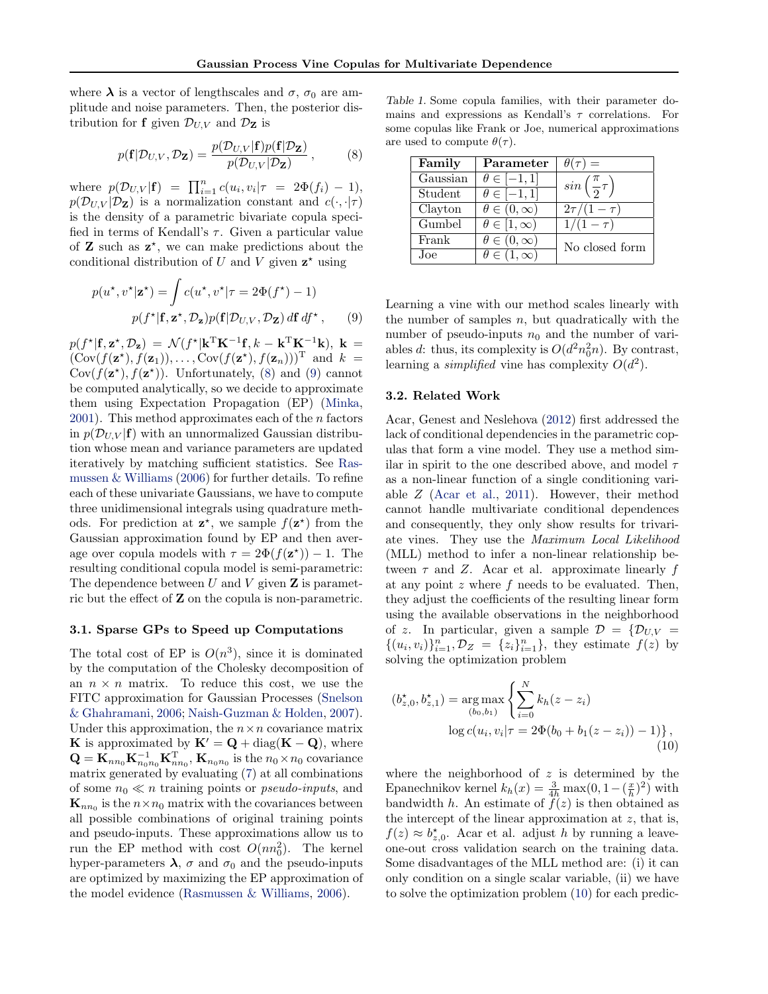<span id="page-4-0"></span>where  $\lambda$  is a vector of lengthscales and  $\sigma$ ,  $\sigma_0$  are amplitude and noise parameters. Then, the posterior distribution for **f** given  $\mathcal{D}_{U,V}$  and  $\mathcal{D}_{\mathbf{Z}}$  is

$$
p(\mathbf{f}|\mathcal{D}_{U,V}, \mathcal{D}_{\mathbf{Z}}) = \frac{p(\mathcal{D}_{U,V}|\mathbf{f})p(\mathbf{f}|\mathcal{D}_{\mathbf{Z}})}{p(\mathcal{D}_{U,V}|\mathcal{D}_{\mathbf{Z}})},\tag{8}
$$

where  $p(\mathcal{D}_{U,V}|\mathbf{f}) = \prod_{i=1}^{n} c(u_i, v_i | \tau = 2\Phi(f_i) - 1),$  $p(\mathcal{D}_{U,V} | \mathcal{D}_{\mathbf{Z}})$  is a normalization constant and  $c(\cdot, \cdot | \tau)$ is the density of a parametric bivariate copula specified in terms of Kendall's  $\tau$ . Given a particular value of  $Z$  such as  $z^*$ , we can make predictions about the conditional distribution of U and V given  $z^*$  using

$$
p(u^*, v^* | \mathbf{z}^*) = \int c(u^*, v^* | \tau = 2\Phi(f^*) - 1)
$$

$$
p(f^* | \mathbf{f}, \mathbf{z}^*, \mathcal{D}_\mathbf{z}) p(\mathbf{f} | \mathcal{D}_{U,V}, \mathcal{D}_\mathbf{Z}) \, d\mathbf{f} \, df^*, \qquad (9)
$$

 $p(f^{\star}|\mathbf{f}, \mathbf{z}^{\star}, \mathcal{D}_{\mathbf{z}}) = \mathcal{N}(f^{\star}|\mathbf{k}^{\mathrm{T}}\mathbf{K}^{-1}\mathbf{f}, k - \mathbf{k}^{\mathrm{T}}\mathbf{K}^{-1}\mathbf{k}), \mathbf{k} =$  $(\text{Cov}(f(\mathbf{z}^*), f(\mathbf{z}_1)), \dots, \text{Cov}(f(\mathbf{z}^*), f(\mathbf{z}_n)))^{\text{T}}$  and  $k =$ Cov $(f(\mathbf{z}^{\star}), f(\mathbf{z}^{\star}))$ . Unfortunately, (8) and (9) cannot be computed analytically, so we decide to approximate them using Expectation Propagation (EP) [\(Minka,](#page-8-0) [2001\)](#page-8-0). This method approximates each of the  $n$  factors in  $p(\mathcal{D}_{U,V} | \mathbf{f})$  with an unnormalized Gaussian distribution whose mean and variance parameters are updated iteratively by matching sufficient statistics. See [Ras](#page-8-0)[mussen & Williams](#page-8-0) [\(2006\)](#page-8-0) for further details. To refine each of these univariate Gaussians, we have to compute three unidimensional integrals using quadrature methods. For prediction at  $z^*$ , we sample  $f(z^*)$  from the Gaussian approximation found by EP and then average over copula models with  $\tau = 2\Phi(f(\mathbf{z}^*)) - 1$ . The resulting conditional copula model is semi-parametric: The dependence between  $U$  and  $V$  given  $\mathbf Z$  is parametric but the effect of Z on the copula is non-parametric.

### 3.1. Sparse GPs to Speed up Computations

The total cost of EP is  $O(n^3)$ , since it is dominated by the computation of the Cholesky decomposition of an  $n \times n$  matrix. To reduce this cost, we use the FITC approximation for Gaussian Processes [\(Snelson](#page-8-0) [& Ghahramani,](#page-8-0) [2006;](#page-8-0) [Naish-Guzman & Holden,](#page-8-0) [2007\)](#page-8-0). Under this approximation, the  $n \times n$  covariance matrix K is approximated by  $\mathbf{K}' = \mathbf{Q} + \text{diag}(\mathbf{K} - \mathbf{Q})$ , where  $\mathbf{Q} = \mathbf{K}_{nn_0} \mathbf{K}_{n_0 n_0}^{-1} \mathbf{K}_{nn_0}^{\mathrm{T}}$ ,  $\mathbf{K}_{n_0 n_0}$  is the  $n_0 \times n_0$  covariance matrix generated by evaluating [\(7\)](#page-3-0) at all combinations of some  $n_0 \ll n$  training points or *pseudo-inputs*, and  $\mathbf{K}_{nn_0}$  is the  $n \times n_0$  matrix with the covariances between all possible combinations of original training points and pseudo-inputs. These approximations allow us to run the EP method with cost  $O(nn_0^2)$ . The kernel hyper-parameters  $\lambda$ ,  $\sigma$  and  $\sigma_0$  and the pseudo-inputs are optimized by maximizing the EP approximation of the model evidence [\(Rasmussen & Williams,](#page-8-0) [2006\)](#page-8-0).

Table 1. Some copula families, with their parameter domains and expressions as Kendall's  $\tau$  correlations. For some copulas like Frank or Joe, numerical approximations are used to compute  $\theta(\tau)$ .

| Family   | Parameter               | $\theta(\tau) =$                    |
|----------|-------------------------|-------------------------------------|
| Gaussian | $\theta \in [-1,1]$     | $sin\left(\frac{\pi}{2}\tau\right)$ |
| Student  | $\theta \in [-1,1]$     |                                     |
| Clayton  | $\theta \in (0,\infty)$ | $2\tau/(1-\tau)$                    |
| Gumbel   | $\theta \in [1,\infty)$ | $1/(1 - \tau)$                      |
| Frank    | $\theta \in (0,\infty)$ | No closed form                      |
| Joe.     | $\theta \in (1,\infty)$ |                                     |

Learning a vine with our method scales linearly with the number of samples  $n$ , but quadratically with the number of pseudo-inputs  $n_0$  and the number of variables d: thus, its complexity is  $O(d^2n_0^2n)$ . By contrast, learning a *simplified* vine has complexity  $O(d^2)$ .

#### 3.2. Related Work

Acar, Genest and Neslehova [\(2012\)](#page-8-0) first addressed the lack of conditional dependencies in the parametric copulas that form a vine model. They use a method similar in spirit to the one described above, and model  $\tau$ as a non-linear function of a single conditioning variable Z [\(Acar et al.,](#page-8-0) [2011\)](#page-8-0). However, their method cannot handle multivariate conditional dependences and consequently, they only show results for trivariate vines. They use the Maximum Local Likelihood (MLL) method to infer a non-linear relationship between  $\tau$  and Z. Acar et al. approximate linearly f at any point  $z$  where  $f$  needs to be evaluated. Then, they adjust the coefficients of the resulting linear form using the available observations in the neighborhood of z. In particular, given a sample  $\mathcal{D} = \{ \mathcal{D}_{U,V} =$  $\{(u_i, v_i)\}_{i=1}^n, \mathcal{D}_Z = \{z_i\}_{i=1}^n$ , they estimate  $f(z)$  by solving the optimization problem

$$
(b_{z,0}^{\star}, b_{z,1}^{\star}) = \underset{(b_0, b_1)}{\arg \max} \left\{ \sum_{i=0}^{N} k_h(z - z_i) - \log c(u_i, v_i | \tau = 2\Phi(b_0 + b_1(z - z_i)) - 1) \right\},\tag{10}
$$

where the neighborhood of  $z$  is determined by the Epanechnikov kernel  $k_h(x) = \frac{3}{4h} \max(0, 1 - (\frac{x}{h})^2)$  with bandwidth h. An estimate of  $f(z)$  is then obtained as the intercept of the linear approximation at z, that is,  $f(z) \approx b_{z,0}^*$ . Acar et al. adjust h by running a leaveone-out cross validation search on the training data. Some disadvantages of the MLL method are: (i) it can only condition on a single scalar variable, (ii) we have to solve the optimization problem (10) for each predic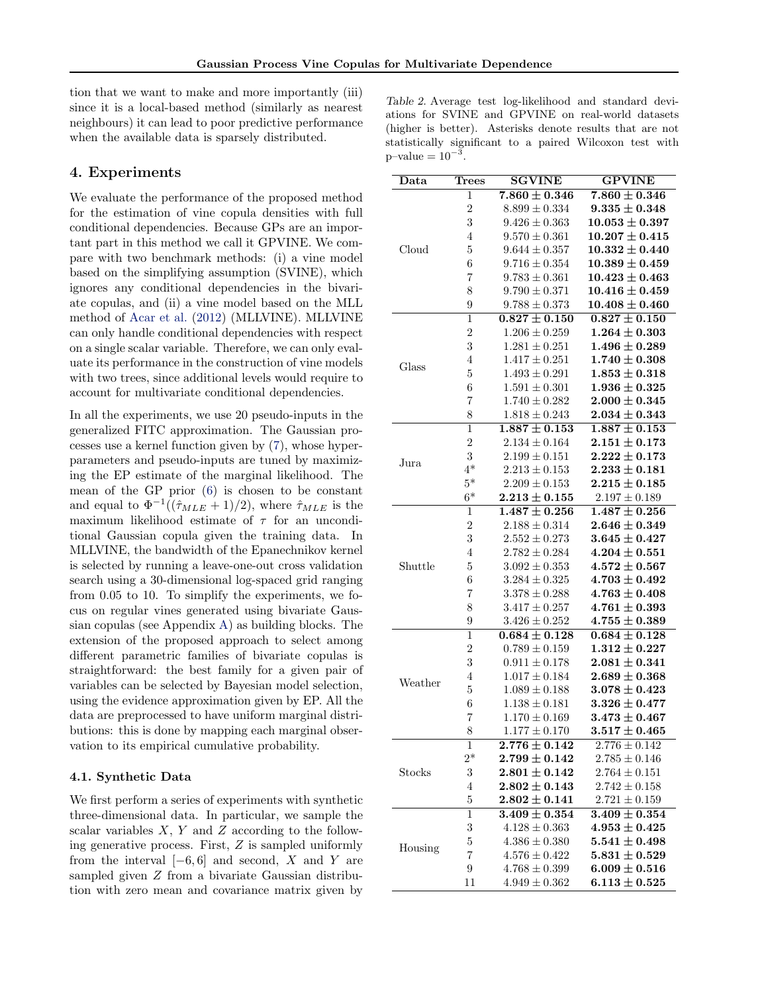<span id="page-5-0"></span>tion that we want to make and more importantly (iii) since it is a local-based method (similarly as nearest neighbours) it can lead to poor predictive performance when the available data is sparsely distributed.

# 4. Experiments

We evaluate the performance of the proposed method for the estimation of vine copula densities with full conditional dependencies. Because GPs are an important part in this method we call it GPVINE. We compare with two benchmark methods: (i) a vine model based on the simplifying assumption (SVINE), which ignores any conditional dependencies in the bivariate copulas, and (ii) a vine model based on the MLL method of [Acar et al.](#page-8-0) [\(2012\)](#page-8-0) (MLLVINE). MLLVINE can only handle conditional dependencies with respect on a single scalar variable. Therefore, we can only evaluate its performance in the construction of vine models with two trees, since additional levels would require to account for multivariate conditional dependencies.

In all the experiments, we use 20 pseudo-inputs in the generalized FITC approximation. The Gaussian processes use a kernel function given by [\(7\)](#page-3-0), whose hyperparameters and pseudo-inputs are tuned by maximizing the EP estimate of the marginal likelihood. The mean of the GP prior [\(6\)](#page-3-0) is chosen to be constant and equal to  $\Phi^{-1}((\hat{\tau}_{MLE}+1)/2)$ , where  $\hat{\tau}_{MLE}$  is the maximum likelihood estimate of  $\tau$  for an unconditional Gaussian copula given the training data. In MLLVINE, the bandwidth of the Epanechnikov kernel is selected by running a leave-one-out cross validation search using a 30-dimensional log-spaced grid ranging from 0.05 to 10. To simplify the experiments, we focus on regular vines generated using bivariate Gaussian copulas (see Appendix [A\)](#page-7-0) as building blocks. The extension of the proposed approach to select among different parametric families of bivariate copulas is straightforward: the best family for a given pair of variables can be selected by Bayesian model selection, using the evidence approximation given by EP. All the data are preprocessed to have uniform marginal distributions: this is done by mapping each marginal observation to its empirical cumulative probability.

### 4.1. Synthetic Data

We first perform a series of experiments with synthetic three-dimensional data. In particular, we sample the scalar variables  $X, Y$  and  $Z$  according to the following generative process. First, Z is sampled uniformly from the interval  $[-6, 6]$  and second, X and Y are sampled given Z from a bivariate Gaussian distribution with zero mean and covariance matrix given by

| Table 2. Average test log-likelihood and standard devi-   |  |  |  |  |
|-----------------------------------------------------------|--|--|--|--|
| ations for SVINE and GPVINE on real-world datasets        |  |  |  |  |
| (higher is better). Asterisks denote results that are not |  |  |  |  |
| statistically significant to a paired Wilcoxon test with  |  |  |  |  |
| $p$ -value = $10^{-3}$ .                                  |  |  |  |  |

| Data    | <b>Trees</b>   | <b>SGVINE</b>     | <b>GPVINE</b>      |
|---------|----------------|-------------------|--------------------|
|         | 1              | $7.860 \pm 0.346$ | $7.860 \pm 0.346$  |
|         | $\overline{2}$ | $8.899 \pm 0.334$ | $9.335 \pm 0.348$  |
|         | 3              | $9.426 \pm 0.363$ | $10.053\pm0.397$   |
|         | $\overline{4}$ | $9.570 \pm 0.361$ | $10.207 \pm 0.415$ |
| Cloud   | 5              | $9.644 \pm 0.357$ | $10.332 \pm 0.440$ |
|         | 6              | $9.716 \pm 0.354$ | $10.389\pm0.459$   |
|         | 7              | $9.783 \pm 0.361$ | $10.423\pm0.463$   |
|         | 8              | $9.790 \pm 0.371$ | $10.416\pm0.459$   |
|         | 9              | $9.788 \pm 0.373$ | $10.408 \pm 0.460$ |
|         | $\mathbf 1$    | $0.827 \pm 0.150$ | $0.827 \pm 0.150$  |
|         | $\overline{2}$ | $1.206 \pm 0.259$ | $1.264 \pm 0.303$  |
|         | 3              | $1.281 \pm 0.251$ | $1.496 \pm 0.289$  |
|         | $\overline{4}$ | $1.417 \pm 0.251$ | $1.740 \pm 0.308$  |
| Glass   | 5              | $1.493 \pm 0.291$ | $1.853 \pm 0.318$  |
|         | 6              | $1.591 \pm 0.301$ | $1.936\pm0.325$    |
|         | 7              | $1.740 \pm 0.282$ | $2.000 \pm 0.345$  |
|         | 8              | $1.818 \pm 0.243$ | $2.034\pm0.343$    |
|         | $\mathbf{1}$   | $1.887 \pm 0.153$ | $1.887 \pm 0.153$  |
|         | $\overline{2}$ | $2.134 \pm 0.164$ | $2.151 \pm 0.173$  |
|         | 3              | $2.199 \pm 0.151$ | $2.222\pm0.173$    |
| Jura    | $4*$           | $2.213 \pm 0.153$ | $2.233 \pm 0.181$  |
|         | $5*$           | $2.209 \pm 0.153$ | $2.215 \pm 0.185$  |
|         | $6*$           | $2.213 \pm 0.155$ | $2.197 \pm 0.189$  |
|         | 1              | $1.487\pm0.256$   | $1.487 \pm 0.256$  |
|         | $\overline{2}$ | $2.188 \pm 0.314$ | $2.646 \pm 0.349$  |
|         | 3              | $2.552 \pm 0.273$ | $3.645\pm0.427$    |
|         | $\overline{4}$ | $2.782 \pm 0.284$ | $4.204 \pm 0.551$  |
| Shuttle | 5              | $3.092 \pm 0.353$ | $4.572\pm0.567$    |
|         | 6              | $3.284 \pm 0.325$ | $4.703 \pm 0.492$  |
|         | 7              | $3.378 \pm 0.288$ | $4.763 \pm 0.408$  |
|         | 8              | $3.417 \pm 0.257$ | $4.761 \pm 0.393$  |
|         | 9              | $3.426 \pm 0.252$ | $4.755\pm0.389$    |
|         | $\mathbf 1$    | $0.684 \pm 0.128$ | $0.684 \pm 0.128$  |
|         | $\overline{2}$ | $0.789 \pm 0.159$ | $1.312 \pm 0.227$  |
|         | 3              | $0.911 \pm 0.178$ | $2.081 \pm 0.341$  |
|         | $\overline{4}$ | $1.017 \pm 0.184$ | $2.689 \pm 0.368$  |
| Weather | 5              | $1.089 \pm 0.188$ | $3.078 \pm 0.423$  |
|         | 6              | $1.138\pm0.181$   | $3.326 \pm 0.477$  |
|         | 7              | $1.170 \pm 0.169$ | $3.473 \pm 0.467$  |
|         | 8              | $1.177 \pm 0.170$ | $3.517 \pm 0.465$  |
| Stocks  | 1              | $2.776\pm0.142$   | $2.776 \pm 0.142$  |
|         | $2*$           | $2.799\pm0.142$   | $2.785 \pm 0.146$  |
|         | 3              | $2.801 \pm 0.142$ | $2.764 \pm 0.151$  |
|         | 4              | $2.802 \pm 0.143$ | $2.742 \pm 0.158$  |
|         | 5              | $2.802 \pm 0.141$ | $2.721 \pm 0.159$  |
| Housing | 1              | $3.409\pm0.354$   | $3.409 \pm 0.354$  |
|         | 3              | $4.128 \pm 0.363$ | $4.953 \pm 0.425$  |
|         | 5              | $4.386 \pm 0.380$ | $5.541 \pm 0.498$  |
|         | 7              | $4.576 \pm 0.422$ | $5.831\pm0.529$    |
|         | 9              | $4.768 \pm 0.399$ | $6.009 \pm 0.516$  |
|         | $11\,$         | $4.949 \pm 0.362$ | $6.113 \pm 0.525$  |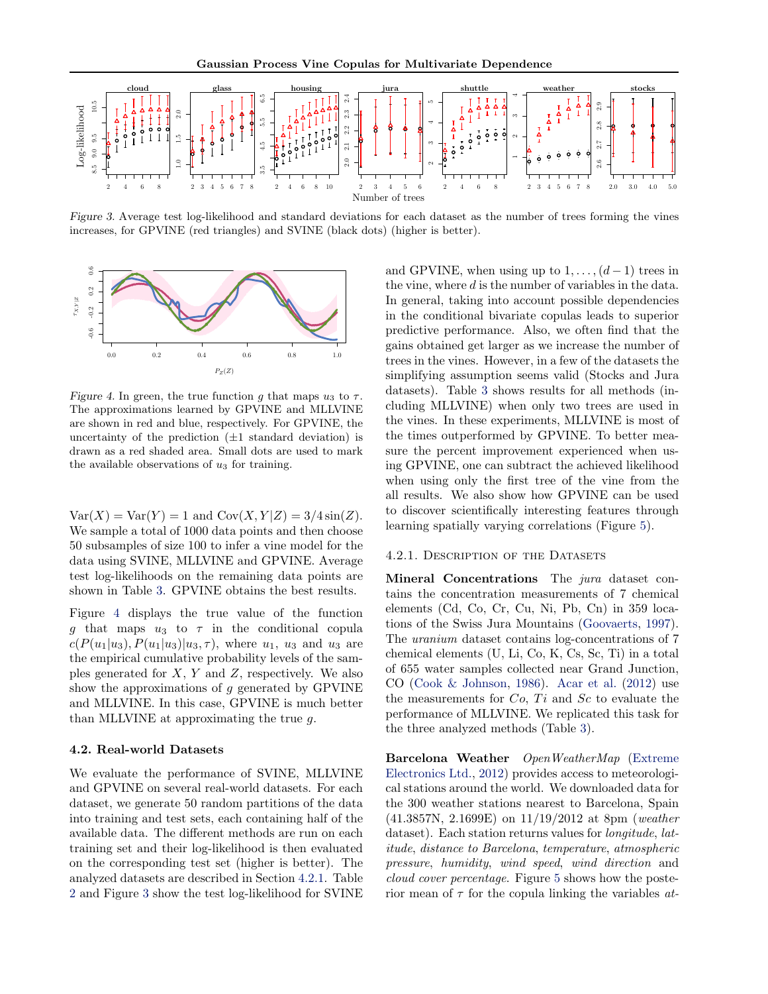

Figure 3. Average test log-likelihood and standard deviations for each dataset as the number of trees forming the vines increases, for GPVINE (red triangles) and SVINE (black dots) (higher is better).



Figure 4. In green, the true function g that maps  $u_3$  to  $\tau$ . The approximations learned by GPVINE and MLLVINE are shown in red and blue, respectively. For GPVINE, the uncertainty of the prediction  $(\pm 1)$  standard deviation) is drawn as a red shaded area. Small dots are used to mark the available observations of  $u_3$  for training.

 $Var(X) = Var(Y) = 1$  and  $Cov(X, Y|Z) = 3/4 sin(Z)$ . We sample a total of 1000 data points and then choose 50 subsamples of size 100 to infer a vine model for the data using SVINE, MLLVINE and GPVINE. Average test log-likelihoods on the remaining data points are shown in Table [3.](#page-7-0) GPVINE obtains the best results.

Figure 4 displays the true value of the function g that maps  $u_3$  to  $\tau$  in the conditional copula  $c(P(u_1|u_3), P(u_1|u_3)|u_3, \tau)$ , where  $u_1, u_3$  and  $u_3$  are the empirical cumulative probability levels of the samples generated for  $X, Y$  and  $Z$ , respectively. We also show the approximations of  $g$  generated by GPVINE and MLLVINE. In this case, GPVINE is much better than MLLVINE at approximating the true g.

### 4.2. Real-world Datasets

We evaluate the performance of SVINE, MLLVINE and GPVINE on several real-world datasets. For each dataset, we generate 50 random partitions of the data into training and test sets, each containing half of the available data. The different methods are run on each training set and their log-likelihood is then evaluated on the corresponding test set (higher is better). The analyzed datasets are described in Section 4.2.1. Table [2](#page-5-0) and Figure 3 show the test log-likelihood for SVINE and GPVINE, when using up to  $1, \ldots, (d-1)$  trees in the vine, where d is the number of variables in the data. In general, taking into account possible dependencies in the conditional bivariate copulas leads to superior predictive performance. Also, we often find that the gains obtained get larger as we increase the number of trees in the vines. However, in a few of the datasets the simplifying assumption seems valid (Stocks and Jura datasets). Table [3](#page-7-0) shows results for all methods (including MLLVINE) when only two trees are used in the vines. In these experiments, MLLVINE is most of the times outperformed by GPVINE. To better measure the percent improvement experienced when using GPVINE, one can subtract the achieved likelihood when using only the first tree of the vine from the all results. We also show how GPVINE can be used to discover scientifically interesting features through learning spatially varying correlations (Figure [5\)](#page-7-0).

#### 4.2.1. DESCRIPTION OF THE DATASETS

Mineral Concentrations The *jura* dataset contains the concentration measurements of 7 chemical elements (Cd, Co, Cr, Cu, Ni, Pb, Cn) in 359 locations of the Swiss Jura Mountains [\(Goovaerts,](#page-8-0) [1997\)](#page-8-0). The uranium dataset contains log-concentrations of 7 chemical elements (U, Li, Co, K, Cs, Sc, Ti) in a total of 655 water samples collected near Grand Junction, CO [\(Cook & Johnson,](#page-8-0) [1986\)](#page-8-0). [Acar et al.](#page-8-0) [\(2012\)](#page-8-0) use the measurements for  $Co$ ,  $Ti$  and  $Sc$  to evaluate the performance of MLLVINE. We replicated this task for the three analyzed methods (Table [3\)](#page-7-0).

Barcelona Weather OpenWeatherMap [\(Extreme](#page-8-0) [Electronics Ltd.,](#page-8-0) [2012\)](#page-8-0) provides access to meteorological stations around the world. We downloaded data for the 300 weather stations nearest to Barcelona, Spain  $(41.3857N, 2.1699E)$  on  $11/19/2012$  at 8pm (weather dataset). Each station returns values for *longitude*, *lat*itude, distance to Barcelona, temperature, atmospheric pressure, humidity, wind speed, wind direction and cloud cover percentage. Figure [5](#page-7-0) shows how the posterior mean of  $\tau$  for the copula linking the variables *at*-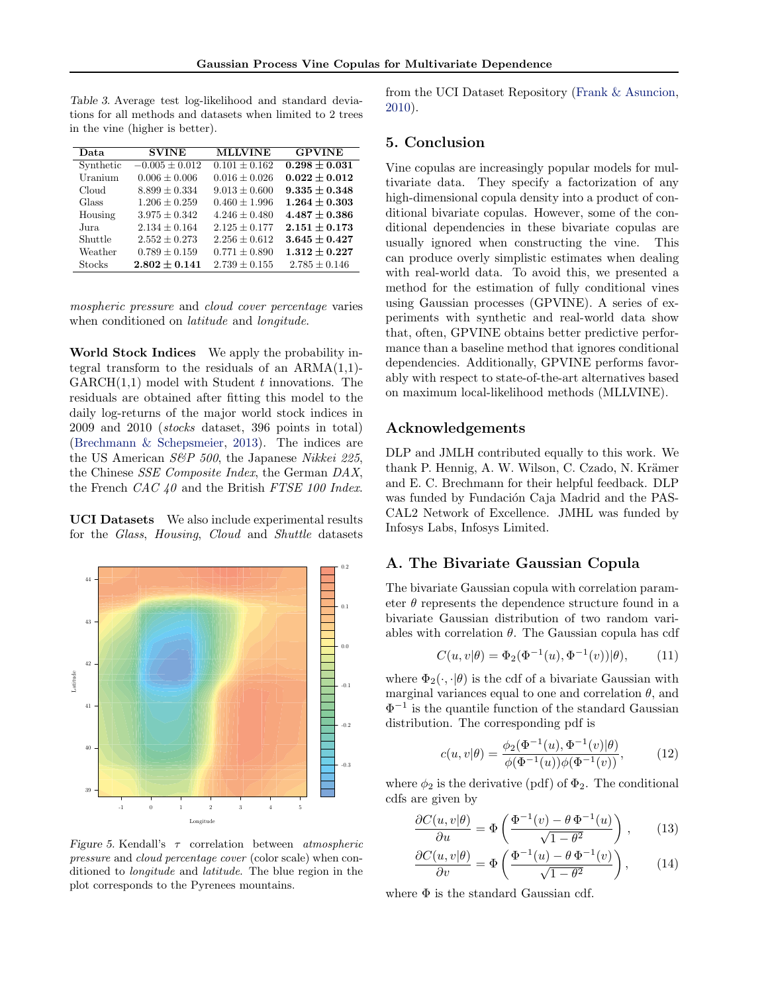<span id="page-7-0"></span>Table 3. Average test log-likelihood and standard deviations for all methods and datasets when limited to 2 trees in the vine (higher is better).

| Data      | <b>SVINE</b>       | <b>MLLVINE</b>    | <b>GPVINE</b>     |
|-----------|--------------------|-------------------|-------------------|
| Synthetic | $-0.005 \pm 0.012$ | $0.101 + 0.162$   | $0.298 \pm 0.031$ |
| Uranium   | $0.006 \pm 0.006$  | $0.016 \pm 0.026$ | $0.022 \pm 0.012$ |
| Cloud     | $8.899 + 0.334$    | $9.013 + 0.600$   | $9.335 \pm 0.348$ |
| Glass     | $1.206 \pm 0.259$  | $0.460 \pm 1.996$ | $1.264 \pm 0.303$ |
| Housing   | $3.975 \pm 0.342$  | $4.246 \pm 0.480$ | $4.487 \pm 0.386$ |
| Jura      | $2.134 + 0.164$    | $2.125 + 0.177$   | $2.151 \pm 0.173$ |
| Shuttle   | $2.552 \pm 0.273$  | $2.256 \pm 0.612$ | $3.645 \pm 0.427$ |
| Weather   | $0.789 \pm 0.159$  | $0.771 + 0.890$   | $1.312 \pm 0.227$ |
| Stocks    | $2.802 \pm 0.141$  | $2.739 \pm 0.155$ | $2.785 \pm 0.146$ |

mospheric pressure and cloud cover percentage varies when conditioned on *latitude* and *longitude*.

World Stock Indices We apply the probability integral transform to the residuals of an  $ARMA(1,1)$ - $GARCH(1,1)$  model with Student t innovations. The residuals are obtained after fitting this model to the daily log-returns of the major world stock indices in 2009 and 2010 (stocks dataset, 396 points in total) [\(Brechmann & Schepsmeier,](#page-8-0) [2013\)](#page-8-0). The indices are the US American  $S\&P$  500, the Japanese Nikkei 225, the Chinese SSE Composite Index, the German DAX, the French  $CAC$  40 and the British FTSE 100 Index.

UCI Datasets We also include experimental results for the Glass, Housing, Cloud and Shuttle datasets



Figure 5. Kendall's  $\tau$  correlation between *atmospheric* pressure and cloud percentage cover (color scale) when conditioned to longitude and latitude. The blue region in the plot corresponds to the Pyrenees mountains.

from the UCI Dataset Repository [\(Frank & Asuncion,](#page-8-0) [2010\)](#page-8-0).

### 5. Conclusion

Vine copulas are increasingly popular models for multivariate data. They specify a factorization of any high-dimensional copula density into a product of conditional bivariate copulas. However, some of the conditional dependencies in these bivariate copulas are usually ignored when constructing the vine. This can produce overly simplistic estimates when dealing with real-world data. To avoid this, we presented a method for the estimation of fully conditional vines using Gaussian processes (GPVINE). A series of experiments with synthetic and real-world data show that, often, GPVINE obtains better predictive performance than a baseline method that ignores conditional dependencies. Additionally, GPVINE performs favorably with respect to state-of-the-art alternatives based on maximum local-likelihood methods (MLLVINE).

# Acknowledgements

DLP and JMLH contributed equally to this work. We thank P. Hennig, A. W. Wilson, C. Czado, N. Krämer and E. C. Brechmann for their helpful feedback. DLP was funded by Fundación Caja Madrid and the PAS-CAL2 Network of Excellence. JMHL was funded by Infosys Labs, Infosys Limited.

### A. The Bivariate Gaussian Copula

The bivariate Gaussian copula with correlation parameter  $\theta$  represents the dependence structure found in a bivariate Gaussian distribution of two random variables with correlation  $\theta$ . The Gaussian copula has cdf

$$
C(u, v|\theta) = \Phi_2(\Phi^{-1}(u), \Phi^{-1}(v))|\theta), \tag{11}
$$

where  $\Phi_2(\cdot, \cdot | \theta)$  is the cdf of a bivariate Gaussian with marginal variances equal to one and correlation  $\theta$ , and  $\Phi^{-1}$  is the quantile function of the standard Gaussian distribution. The corresponding pdf is

$$
c(u, v | \theta) = \frac{\phi_2(\Phi^{-1}(u), \Phi^{-1}(v) | \theta)}{\phi(\Phi^{-1}(u))\phi(\Phi^{-1}(v))},
$$
(12)

where  $\phi_2$  is the derivative (pdf) of  $\Phi_2$ . The conditional cdfs are given by

$$
\frac{\partial C(u,v|\theta)}{\partial u} = \Phi\left(\frac{\Phi^{-1}(v) - \theta \Phi^{-1}(u)}{\sqrt{1 - \theta^2}}\right),\qquad(13)
$$

$$
\frac{\partial C(u,v|\theta)}{\partial v} = \Phi\left(\frac{\Phi^{-1}(u) - \theta \Phi^{-1}(v)}{\sqrt{1 - \theta^2}}\right),\qquad(14)
$$

where Φ is the standard Gaussian cdf.